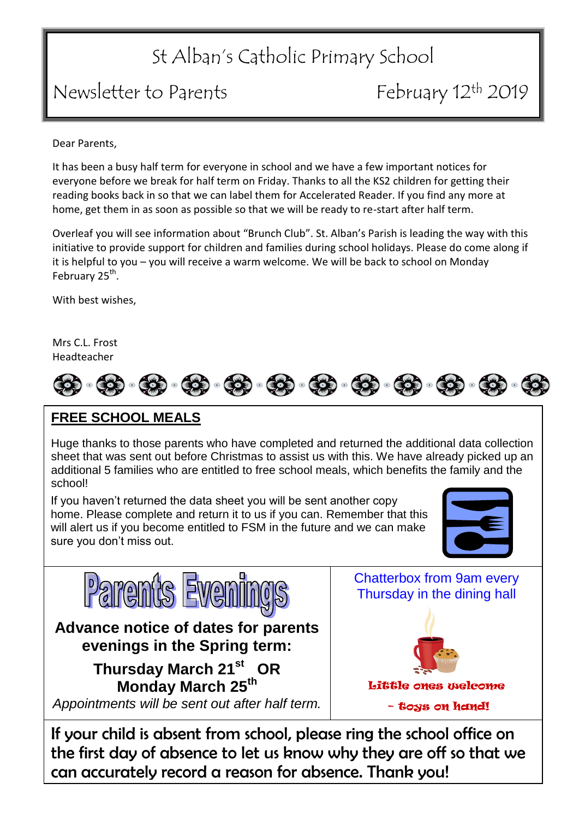### St Alban's Catholic Primary School

#### Newsletter to Parents February 12<sup>th</sup> 2019

Dear Parents,

It has been a busy half term for everyone in school and we have a few important notices for everyone before we break for half term on Friday. Thanks to all the KS2 children for getting their reading books back in so that we can label them for Accelerated Reader. If you find any more at home, get them in as soon as possible so that we will be ready to re-start after half term.

Overleaf you will see information about "Brunch Club". St. Alban's Parish is leading the way with this initiative to provide support for children and families during school holidays. Please do come along if it is helpful to you – you will receive a warm welcome. We will be back to school on Monday February 25<sup>th</sup>.

With best wishes,

Mrs C.L. Frost Headteacher



#### **FREE SCHOOL MEALS**

Huge thanks to those parents who have completed and returned the additional data collection sheet that was sent out before Christmas to assist us with this. We have already picked up an additional 5 families who are entitled to free school meals, which benefits the family and the school!

If you haven't returned the data sheet you will be sent another copy home. Please complete and return it to us if you can. Remember that this will alert us if you become entitled to FSM in the future and we can make sure you don't miss out.





If your child is absent from school, please ring the school office on the first day of absence to let us know why they are off so that we can accurately record a reason for absence. Thank you!